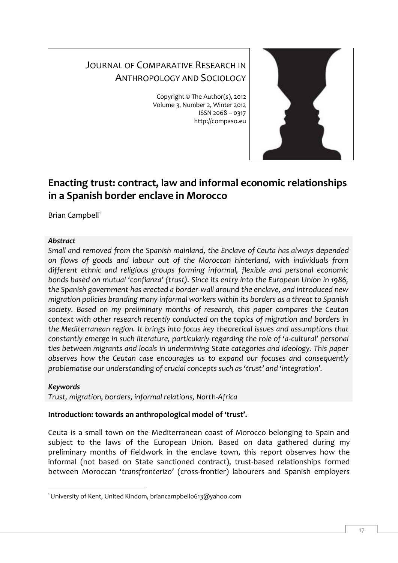# JOURNAL OF COMPARATIVE RESEARCH IN ANTHROPOLOGY AND SOCIOLOGY

Copyright © The Author(s), 2012 Volume 3, Number 2, Winter 2012 ISSN 2068 – 0317 http://compaso.eu



## **Enacting trust: contract, law and informal economic relationships in a Spanish border enclave in Morocco**

Brian Campbell<sup>1</sup>

## *Abstract*

*Small and removed from the Spanish mainland, the Enclave of Ceuta has always depended on flows of goods and labour out of the Moroccan hinterland, with individuals from different ethnic and religious groups forming informal, flexible and personal economic bonds based on mutual 'confianza' (trust). Since its entry into the European Union in 1986, the Spanish government has erected a border-wall around the enclave, and introduced new migration policies branding many informal workers within its borders as a threat to Spanish society. Based on my preliminary months of research, this paper compares the Ceutan context with other research recently conducted on the topics of migration and borders in the Mediterranean region. It brings into focus key theoretical issues and assumptions that constantly emerge in such literature, particularly regarding the role of 'a-cultural' personal ties between migrants and locals in undermining State categories and ideology. This paper observes how the Ceutan case encourages us to expand our focuses and consequently problematise our understanding of crucial concepts such as 'trust' and 'integration'.* 

## *Keywords*

*Trust, migration, borders, informal relations, North-Africa*

## **Introduction: towards an anthropological model of 'trust'.**

Ceuta is a small town on the Mediterranean coast of Morocco belonging to Spain and subject to the laws of the European Union. Based on data gathered during my preliminary months of fieldwork in the enclave town, this report observes how the informal (not based on State sanctioned contract), trust-based relationships formed between Moroccan '*transfronterizo'* (cross-frontier) labourers and Spanish employers

<sup>-</sup><sup>1</sup> University of Kent, United Kindom, briancampbello613@yahoo.com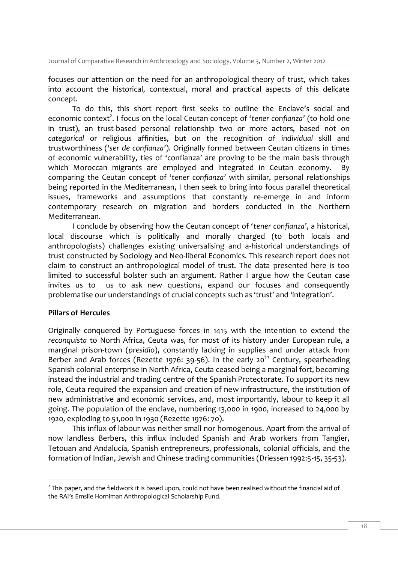focuses our attention on the need for an anthropological theory of trust, which takes into account the historical, contextual, moral and practical aspects of this delicate concept.

To do this, this short report first seeks to outline the Enclave's social and economic context<sup>2</sup>. I focus on the local Ceutan concept of 'tener confianza' (to hold one in trust), an trust-based personal relationship two or more actors, based not on *categorical* or religious affinities, but on the recognition of *individual* skill and trustworthiness ('*ser de confianza'*). Originally formed between Ceutan citizens in times of economic vulnerability, ties of 'confianza' are proving to be the main basis through which Moroccan migrants are employed and integrated in Ceutan economy. By comparing the Ceutan concept of '*tener confianza'* with similar, personal relationships being reported in the Mediterranean, I then seek to bring into focus parallel theoretical issues, frameworks and assumptions that constantly re-emerge in and inform contemporary research on migration and borders conducted in the Northern Mediterranean.

I conclude by observing how the Ceutan concept of '*tener confianza'*, a historical, local discourse which is politically and morally charged (to both locals and anthropologists) challenges existing universalising and a-historical understandings of trust constructed by Sociology and Neo-liberal Economics. This research report does not claim to construct an anthropological model of trust. The data presented here is too limited to successful bolster such an argument. Rather I argue how the Ceutan case invites us to us to ask new questions, expand our focuses and consequently problematise our understandings of crucial concepts such as 'trust' and 'integration'.

## **Pillars of Hercules**

Originally conquered by Portuguese forces in 1415 with the intention to extend the *reconquista* to North Africa, Ceuta was, for most of its history under European rule, a marginal prison-town (*presidio*), constantly lacking in supplies and under attack from Berber and Arab forces (Rezette 1976: 39-56). In the early 20<sup>th</sup> Century, spearheading Spanish colonial enterprise in North Africa, Ceuta ceased being a marginal fort, becoming instead the industrial and trading centre of the Spanish Protectorate. To support its new role, Ceuta required the expansion and creation of new infrastructure, the institution of new administrative and economic services, and, most importantly, labour to keep it all going. The population of the enclave, numbering 13,000 in 1900, increased to 24,000 by 1920, exploding to 51,000 in 1930 (Rezette 1976: 70).

This influx of labour was neither small nor homogenous. Apart from the arrival of now landless Berbers, this influx included Spanish and Arab workers from Tangier, Tetouan and Andalucía, Spanish entrepreneurs, professionals, colonial officials, and the formation of Indian, Jewish and Chinese trading communities (Driessen 1992:5-15, 35-53).

<sup>-</sup> $^2$  This paper, and the fieldwork it is based upon, could not have been realised without the financial aid of the RAI's Emslie Horniman Anthropological Scholarship Fund.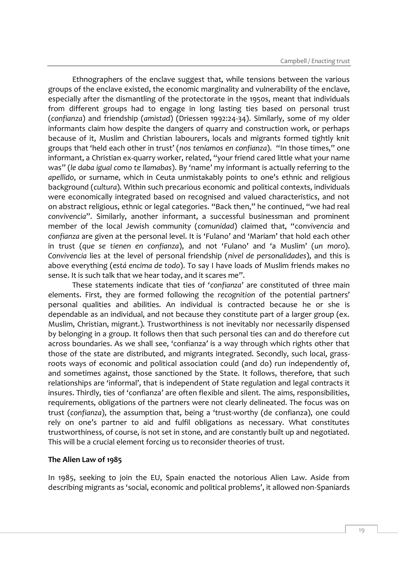Ethnographers of the enclave suggest that, while tensions between the various groups of the enclave existed, the economic marginality and vulnerability of the enclave, especially after the dismantling of the protectorate in the 1950s, meant that individuals from different groups had to engage in long lasting ties based on personal trust (*confianza*) and friendship (*amistad*) (Driessen 1992:24-34). Similarly, some of my older informants claim how despite the dangers of quarry and construction work, or perhaps because of it, Muslim and Christian labourers, locals and migrants formed tightly knit groups that 'held each other in trust' (*nos teníamos en confianza*). "In those times," one informant, a Christian ex-quarry worker, related, "your friend cared little what your name was" (*le daba igual como te llamabas*). By 'name' my informant is actually referring to the *apellido*, or surname, which in Ceuta unmistakably points to one's ethnic and religious background (*cultura*). Within such precarious economic and political contexts, individuals were economically integrated based on recognised and valued characteristics, and not on abstract religious, ethnic or legal categories. "Back then," he continued, "we had real *convivencia*". Similarly, another informant, a successful businessman and prominent member of the local Jewish community (*comunidad*) claimed that, "co*nvivencia* and *confianza* are given at the personal level. It is 'Fulano' and 'Mariam' that hold each other in trust (*que se tienen en confianza*), and not 'Fulano' and 'a Muslim' (*un moro*). *Convivencia* lies at the level of personal friendship (*nivel de personalidades*), and this is above everything (*está encima de todo*). To say I have loads of Muslim friends makes no sense. It is such talk that we hear today, and it scares me".

These statements indicate that ties of '*confianza'* are constituted of three main elements. First, they are formed following the *recognition* of the potential partners' personal qualities and abilities. An individual is contracted because he or she is dependable as an individual, and not because they constitute part of a larger group (ex. Muslim, Christian, migrant.). Trustworthiness is not inevitably nor necessarily dispensed by belonging in a group. It follows then that such personal ties can and do therefore cut across boundaries. As we shall see, 'confianza' is a way through which rights other that those of the state are distributed, and migrants integrated. Secondly, such local, grassroots ways of economic and political association could (and do) run independently of, and sometimes against, those sanctioned by the State. It follows, therefore, that such relationships are 'informal', that is independent of State regulation and legal contracts it insures. Thirdly, ties of 'confianza' are often flexible and silent. The aims, responsibilities, requirements, obligations of the partners were not clearly delineated. The focus was on trust (*confianza*), the assumption that, being a 'trust-worthy (de confianza), one could rely on one's partner to aid and fulfil obligations as necessary. What constitutes trustworthiness, of course, is not set in stone, and are constantly built up and negotiated. This will be a crucial element forcing us to reconsider theories of trust.

#### **The Alien Law of 1985**

In 1985, seeking to join the EU, Spain enacted the notorious Alien Law. Aside from describing migrants as 'social, economic and political problems', it allowed non-Spaniards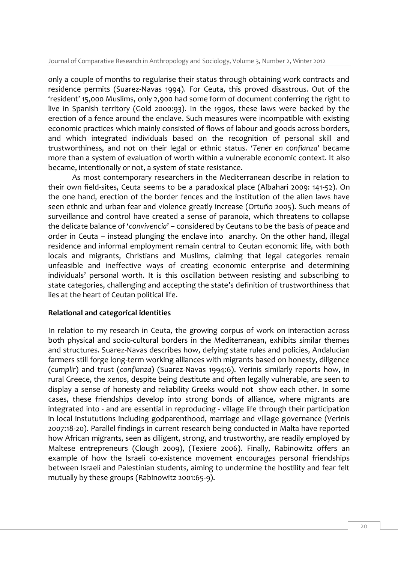only a couple of months to regularise their status through obtaining work contracts and residence permits (Suarez-Navas 1994). For Ceuta, this proved disastrous. Out of the 'resident' 15,000 Muslims, only 2,900 had some form of document conferring the right to live in Spanish territory (Gold 2000:93). In the 1990s, these laws were backed by the erection of a fence around the enclave. Such measures were incompatible with existing economic practices which mainly consisted of flows of labour and goods across borders, and which integrated individuals based on the recognition of personal skill and trustworthiness, and not on their legal or ethnic status. '*Tener en confianza*' became more than a system of evaluation of worth within a vulnerable economic context. It also became, intentionally or not, a system of state resistance.

As most contemporary researchers in the Mediterranean describe in relation to their own field-sites, Ceuta seems to be a paradoxical place (Albahari 2009: 141-52). On the one hand, erection of the border fences and the institution of the alien laws have seen ethnic and urban fear and violence greatly increase (Ortuño 2005). Such means of surveillance and control have created a sense of paranoia, which threatens to collapse the delicate balance of '*convivencia*' – considered by Ceutans to be the basis of peace and order in Ceuta – instead plunging the enclave into anarchy. On the other hand, illegal residence and informal employment remain central to Ceutan economic life, with both locals and migrants, Christians and Muslims, claiming that legal categories remain unfeasible and ineffective ways of creating economic enterprise and determining individuals' personal worth. It is this oscillation between resisting and subscribing to state categories, challenging and accepting the state's definition of trustworthiness that lies at the heart of Ceutan political life.

## **Relational and categorical identities**

In relation to my research in Ceuta, the growing corpus of work on interaction across both physical and socio-cultural borders in the Mediterranean, exhibits similar themes and structures. Suarez-Navas describes how, defying state rules and policies, Andalucian farmers still forge long-term working alliances with migrants based on honesty, diligence (*cumplir*) and trust (*confianza*) (Suarez-Navas 1994:6). Verinis similarly reports how, in rural Greece, the *xenos*, despite being destitute and often legally vulnerable, are seen to display a sense of honesty and reliability Greeks would not show each other. In some cases, these friendships develop into strong bonds of alliance, where migrants are integrated into - and are essential in reproducing - village life through their participation in local instututions including godparenthood, marriage and village governance (Verinis 2007:18-20). Parallel findings in current research being conducted in Malta have reported how African migrants, seen as diligent, strong, and trustworthy, are readily employed by Maltese entrepreneurs (Clough 2009), (Texiere 2006). Finally, Rabinowitz offers an example of how the Israeli co-existence movement encourages personal friendships between Israeli and Palestinian students, aiming to undermine the hostility and fear felt mutually by these groups (Rabinowitz 2001:65-9).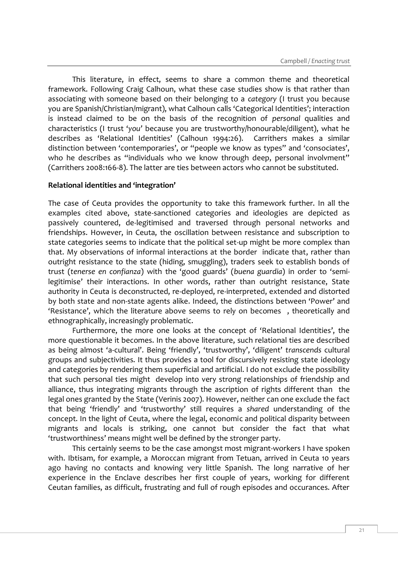This literature, in effect, seems to share a common theme and theoretical framework. Following Craig Calhoun, what these case studies show is that rather than associating with someone based on their belonging to a *category* (I trust you because you are Spanish/Christian/migrant), what Calhoun calls 'Categorical Identities'; interaction is instead claimed to be on the basis of the recognition of *personal* qualities and characteristics (I trust '*you'* because you are trustworthy/honourable/diligent), what he describes as 'Relational Identities' (Calhoun 1994:26). Carrithers makes a similar distinction between 'contemporaries', or "people we know as types" and 'consociates', who he describes as "individuals who we know through deep, personal involvment" (Carrithers 2008:166-8). The latter are ties between actors who cannot be substituted.

#### **Relational identities and 'integration'**

The case of Ceuta provides the opportunity to take this framework further. In all the examples cited above, state-sanctioned categories and ideologies are depicted as passively countered, de-legitimised and traversed through personal networks and friendships. However, in Ceuta, the oscillation between resistance and subscription to state categories seems to indicate that the political set-up might be more complex than that. My observations of informal interactions at the border indicate that, rather than outright resistance to the state (hiding, smuggling), traders seek to establish bonds of trust (*tenerse en confianza*) with the 'good guards' (*buena guardia*) in order to 'semilegitimise' their interactions. In other words, rather than outright resistance, State authority in Ceuta is deconstructed, re-deployed, re-interpreted, extended and distorted by both state and non-state agents alike. Indeed, the distinctions between 'Power' and 'Resistance', which the literature above seems to rely on becomes , theoretically and ethnographically, increasingly problematic.

Furthermore, the more one looks at the concept of 'Relational Identities', the more questionable it becomes. In the above literature, such relational ties are described as being almost 'a-cultural'. Being 'friendly', 'trustworthy', 'diligent' *transcends* cultural groups and subjectivities. It thus provides a tool for discursively resisting state ideology and categories by rendering them superficial and artificial. I do not exclude the possibility that such personal ties might develop into very strong relationships of friendship and alliance, thus integrating migrants through the ascription of rights different than the legal ones granted by the State (Verinis 2007). However, neither can one exclude the fact that being 'friendly' and 'trustworthy' still requires a *shared* understanding of the concept. In the light of Ceuta, where the legal, economic and political disparity between migrants and locals is striking, one cannot but consider the fact that what 'trustworthiness' means might well be defined by the stronger party.

This certainly seems to be the case amongst most migrant-workers I have spoken with. Ibtisam, for example, a Moroccan migrant from Tetuan, arrived in Ceuta 10 years ago having no contacts and knowing very little Spanish. The long narrative of her experience in the Enclave describes her first couple of years, working for different Ceutan families, as difficult, frustrating and full of rough episodes and occurances. After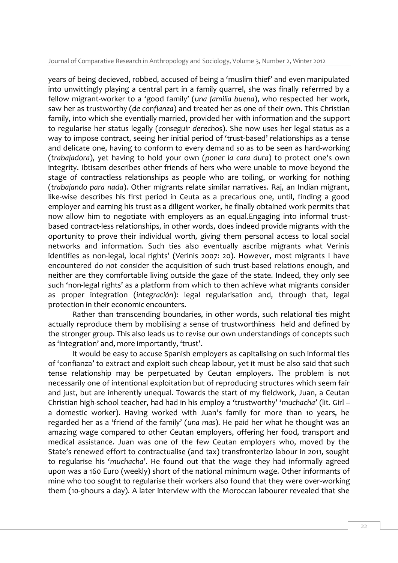years of being decieved, robbed, accused of being a 'muslim thief' and even manipulated into unwittingly playing a central part in a family quarrel, she was finally referrred by a fellow migrant-worker to a 'good family' (*una familia buena*), who respected her work, saw her as trustworthy (*de confianza*) and treated her as one of their own. This Christian family, into which she eventially married, provided her with information and the support to regularise her status legally (*conseguir derechos*). She now uses her legal status as a way to impose contract, seeing her initial period of 'trust-based' relationships as a tense and delicate one, having to conform to every demand so as to be seen as hard-working (*trabajadora*), yet having to hold your own (*poner la cara dura*) to protect one's own integrity. Ibtisam describes other friends of hers who were unable to move beyond the stage of contractless relationships as people who are toiling, or working for nothing (*trabajando para nada*). Other migrants relate similar narratives. Raj, an Indian migrant, like-wise describes his first period in Ceuta as a precarious one, until, finding a good employer and earning his trust as a diligent worker, he finally obtained work permits that now allow him to negotiate with employers as an equal.Engaging into informal trustbased contract-less relationships, in other words, does indeed provide migrants with the oportunity to prove their individual worth, giving them personal access to local social networks and information. Such ties also eventually ascribe migrants what Verinis identifies as non-legal, local rights' (Verinis 2007: 20). However, most migrants I have encountered do *not* consider the acquisition of such trust-based relations enough, and neither are they comfortable living outside the gaze of the state. Indeed, they only see such 'non-legal rights' as a platform from which to then achieve what migrants consider as proper integration (*integración*): legal regularisation and, through that, legal protection in their economic encounters.

Rather than transcending boundaries, in other words, such relational ties might actually reproduce them by mobilising a sense of trustworthiness held and defined by the stronger group. This also leads us to revise our own understandings of concepts such as 'integration' and, more importantly, 'trust'.

It would be easy to accuse Spanish employers as capitalising on such informal ties of 'confianza' to extract and exploit such cheap labour, yet it must be also said that such tense relationship may be perpetuated by Ceutan employers. The problem is not necessarily one of intentional exploitation but of reproducing structures which seem fair and just, but are inherently unequal. Towards the start of my fieldwork, Juan, a Ceutan Christian high-school teacher, had had in his employ a 'trustworthy' '*muchacha'* (lit. Girl – a domestic worker). Having worked with Juan's family for more than 10 years, he regarded her as a 'friend of the family' (*una mas*). He paid her what he thought was an amazing wage compared to other Ceutan employers, offering her food, transport and medical assistance. Juan was one of the few Ceutan employers who, moved by the State's renewed effort to contractualise (and tax) transfronterizo labour in 2011, sought to regularise his '*muchacha'*. He found out that the wage they had informally agreed upon was a 160 Euro (weekly) short of the national minimum wage. Other informants of mine who too sought to regularise their workers also found that they were over-working them (10-9hours a day). A later interview with the Moroccan labourer revealed that she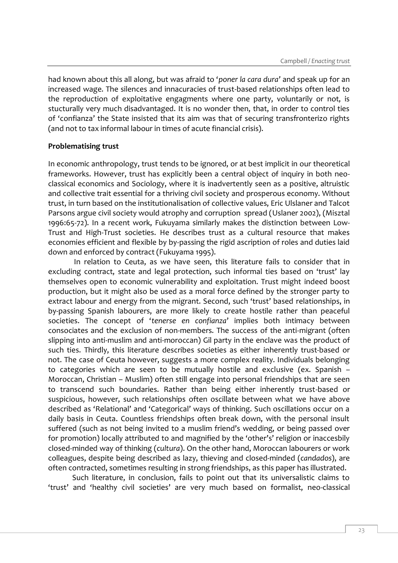had known about this all along, but was afraid to '*poner la cara dura'* and speak up for an increased wage. The silences and innacuracies of trust-based relationships often lead to the reproduction of exploitative engagments where one party, voluntarily or not, is stucturally very much disadvantaged. It is no wonder then, that, in order to control ties of 'confianza' the State insisted that its aim was that of securing transfronterizo rights (and not to tax informal labour in times of acute financial crisis).

#### **Problematising trust**

In economic anthropology, trust tends to be ignored, or at best implicit in our theoretical frameworks. However, trust has explicitly been a central object of inquiry in both neoclassical economics and Sociology, where it is inadvertently seen as a positive, altruistic and collective trait essential for a thriving civil society and prosperous economy. Without trust, in turn based on the institutionalisation of collective values, Eric Ulslaner and Talcot Parsons argue civil society would atrophy and corruption spread (Uslaner 2002), (Misztal 1996:65-72). In a recent work, Fukuyama similarly makes the distinction between Low-Trust and High-Trust societies. He describes trust as a cultural resource that makes economies efficient and flexible by by-passing the rigid ascription of roles and duties laid down and enforced by contract (Fukuyama 1995).

In relation to Ceuta, as we have seen, this literature fails to consider that in excluding contract, state and legal protection, such informal ties based on 'trust' lay themselves open to economic vulnerability and exploitation. Trust might indeed boost production, but it might also be used as a moral force defined by the stronger party to extract labour and energy from the migrant. Second, such 'trust' based relationships, in by-passing Spanish labourers, are more likely to create hostile rather than peaceful societies. The concept of '*tenerse en confianza*' implies both intimacy between consociates and the exclusion of non-members. The success of the anti-migrant (often slipping into anti-muslim and anti-moroccan) Gil party in the enclave was the product of such ties. Thirdly, this literature describes societies as either inherently trust-based or not. The case of Ceuta however, suggests a more complex reality. Individuals belonging to categories which are seen to be mutually hostile and exclusive (ex. Spanish – Moroccan, Christian – Muslim) often still engage into personal friendships that are seen to transcend such boundaries. Rather than being either inherently trust-based or suspicious, however, such relationships often oscillate between what we have above described as 'Relational' and 'Categorical' ways of thinking. Such oscillations occur on a daily basis in Ceuta. Countless friendships often break down, with the personal insult suffered (such as not being invited to a muslim friend's wedding, or being passed over for promotion) locally attributed to and magnified by the 'other's' religion or inaccesbily closed-minded way of thinking (*cultura*). On the other hand, Moroccan labourers or work colleagues, despite being described as lazy, thieving and closed-minded (*candados*), are often contracted, sometimes resulting in strong friendships, as this paper has illustrated.

Such literature, in conclusion, fails to point out that its universalistic claims to 'trust' and 'healthy civil societies' are very much based on formalist, neo-classical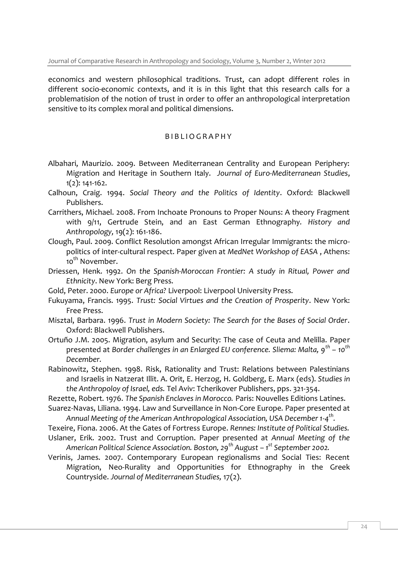economics and western philosophical traditions. Trust, can adopt different roles in different socio-economic contexts, and it is in this light that this research calls for a problematision of the notion of trust in order to offer an anthropological interpretation sensitive to its complex moral and political dimensions.

## B I B L I O G R A P H Y

- Albahari, Maurizio. 2009. Between Mediterranean Centrality and European Periphery: Migration and Heritage in Southern Italy. *Journal of Euro-Mediterranean Studies*, 1(2): 141-162.
- Calhoun, Craig. 1994. *Social Theory and the Politics of Identity*. Oxford: Blackwell Publishers.
- Carrithers, Michael. 2008. From Inchoate Pronouns to Proper Nouns: A theory Fragment with 9/11, Gertrude Stein, and an East German Ethnography*. History and Anthropology,* 19(2): 161-186.
- Clough, Paul. 2009. Conflict Resolution amongst African Irregular Immigrants: the micropolitics of inter-cultural respect. Paper given at *MedNet Workshop of EASA* , Athens: 10<sup>th</sup> November.
- Driessen, Henk. 1992. *On the Spanish-Moroccan Frontier: A study in Ritual, Power and Ethnicity*. New York: Berg Press.
- Gold, Peter. 2000. *Europe or Africa?* Liverpool: Liverpool University Press.
- Fukuyama, Francis. 1995. *Trust: Social Virtues and the Creation of Prosperity*. New York: Free Press.
- Misztal, Barbara. 1996. *Trust in Modern Society: The Search for the Bases of Social Order*. Oxford: Blackwell Publishers.
- Ortuño J.M. 2005. Migration, asylum and Security: The case of Ceuta and Melilla. Paper presented at *Border challenges in an Enlarged EU conference. Sliema: Malta, 9th – 10th December.*

Rabinowitz, Stephen. 1998. Risk, Rationality and Trust: Relations between Palestinians and Israelis in Natzerat Illit. A. Orit, E. Herzog, H. Goldberg, E. Marx (eds). *Studies in the Anthropoloy of Israel, eds.* Tel Aviv: Tcherikover Publishers, pps. 321-354.

- Rezette, Robert. 1976. *The Spanish Enclaves in Morocco.* Paris: Nouvelles Editions Latines.
- Suarez-Navas, Liliana. 1994. Law and Surveillance in Non-Core Europe*.* Paper presented at *Annual Meeting of the American Anthropological Association, USA December 1-4 th .*
- Texeire, Fiona. 2006. At the Gates of Fortress Europe. *Rennes: Institute of Political Studies.*
- Uslaner, Erik. 2002. Trust and Corruption. Paper presented at *Annual Meeting of the American Political Science Association. Boston, 29th August – 1 st September 2002.*
- Verinis, James. 2007. Contemporary European regionalisms and Social Ties: Recent Migration, Neo-Rurality and Opportunities for Ethnography in the Greek Countryside. *Journal of Mediterranean Studies,* 17(2).